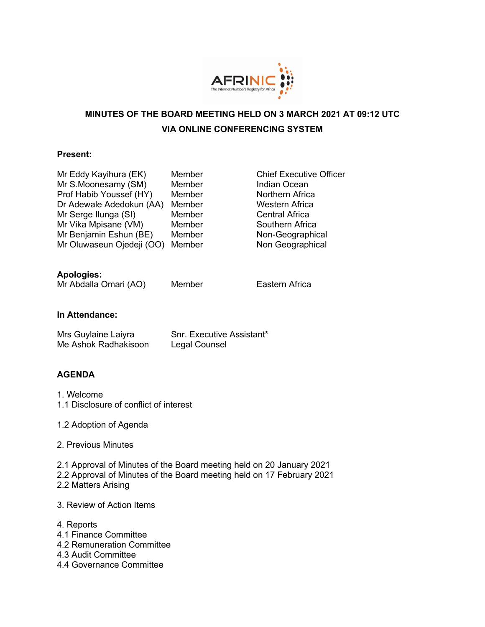

# **MINUTES OF THE BOARD MEETING HELD ON 3 MARCH 2021 AT 09:12 UTC VIA ONLINE CONFERENCING SYSTEM**

### **Present:**

| Mr Eddy Kayihura (EK)     | Member |
|---------------------------|--------|
| Mr S.Moonesamy (SM)       | Member |
| Prof Habib Youssef (HY)   | Member |
| Dr Adewale Adedokun (AA)  | Member |
| Mr Serge Ilunga (SI)      | Member |
| Mr Vika Mpisane (VM)      | Member |
| Mr Benjamin Eshun (BE)    | Member |
| Mr Oluwaseun Ojedeji (OO) | Member |

**Chief Executive Officer** Indian Ocean Northern Africa Western Africa Central Africa Southern Africa Non-Geographical Non Geographical

## **Apologies:**

```
Mr Abdalla Omari (AO) Member Eastern Africa
```
### **In Attendance:**

| Mrs Guylaine Laiyra  | Snr. Executive Assistant* |
|----------------------|---------------------------|
| Me Ashok Radhakisoon | Legal Counsel             |

## **AGENDA**

- 1. Welcome
- 1.1 Disclosure of conflict of interest
- 1.2 Adoption of Agenda
- 2. Previous Minutes
- 2.1 Approval of Minutes of the Board meeting held on 20 January 2021 2.2 Approval of Minutes of the Board meeting held on 17 February 2021
- 2.2 Matters Arising

### 3. Review of Action Items

- 4. Reports
- 4.1 Finance Committee
- 4.2 Remuneration Committee
- 4.3 Audit Committee
- 4.4 Governance Committee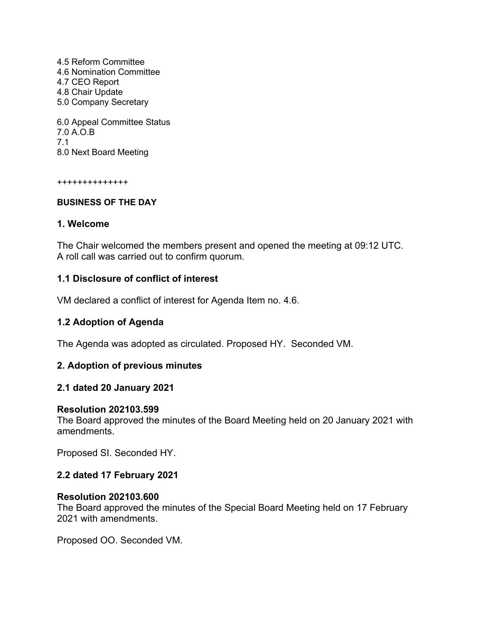4.5 Reform Committee 4.6 Nomination Committee 4.7 CEO Report 4.8 Chair Update 5.0 Company Secretary 6.0 Appeal Committee Status

7.0 A.O.B 7.1 8.0 Next Board Meeting

++++++++++++++

### **BUSINESS OF THE DAY**

## **1. Welcome**

The Chair welcomed the members present and opened the meeting at 09:12 UTC. A roll call was carried out to confirm quorum.

## **1.1 Disclosure of conflict of interest**

VM declared a conflict of interest for Agenda Item no. 4.6.

## **1.2 Adoption of Agenda**

The Agenda was adopted as circulated. Proposed HY. Seconded VM.

## **2. Adoption of previous minutes**

## **2.1 dated 20 January 2021**

### **Resolution 202103.599**

The Board approved the minutes of the Board Meeting held on 20 January 2021 with amendments.

Proposed SI. Seconded HY.

## **2.2 dated 17 February 2021**

### **Resolution 202103.600**

The Board approved the minutes of the Special Board Meeting held on 17 February 2021 with amendments.

Proposed OO. Seconded VM.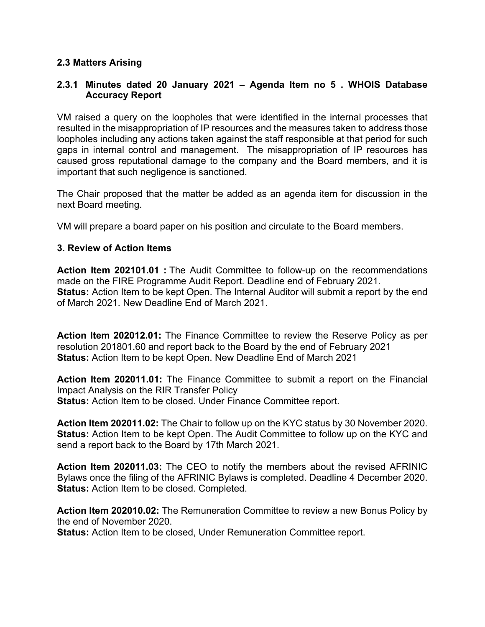## **2.3 Matters Arising**

## **2.3.1 Minutes dated 20 January 2021 – Agenda Item no 5 . WHOIS Database Accuracy Report**

VM raised a query on the loopholes that were identified in the internal processes that resulted in the misappropriation of IP resources and the measures taken to address those loopholes including any actions taken against the staff responsible at that period for such gaps in internal control and management. The misappropriation of IP resources has caused gross reputational damage to the company and the Board members, and it is important that such negligence is sanctioned.

The Chair proposed that the matter be added as an agenda item for discussion in the next Board meeting.

VM will prepare a board paper on his position and circulate to the Board members.

## **3. Review of Action Items**

**Action Item 202101.01 :** The Audit Committee to follow-up on the recommendations made on the FIRE Programme Audit Report. Deadline end of February 2021. **Status:** Action Item to be kept Open. The Internal Auditor will submit a report by the end of March 2021. New Deadline End of March 2021.

**Action Item 202012.01:** The Finance Committee to review the Reserve Policy as per resolution 201801.60 and report back to the Board by the end of February 2021 **Status:** Action Item to be kept Open. New Deadline End of March 2021

**Action Item 202011.01:** The Finance Committee to submit a report on the Financial Impact Analysis on the RIR Transfer Policy **Status:** Action Item to be closed. Under Finance Committee report.

**Action Item 202011.02:** The Chair to follow up on the KYC status by 30 November 2020. **Status:** Action Item to be kept Open. The Audit Committee to follow up on the KYC and send a report back to the Board by 17th March 2021.

**Action Item 202011.03:** The CEO to notify the members about the revised AFRINIC Bylaws once the filing of the AFRINIC Bylaws is completed. Deadline 4 December 2020. **Status:** Action Item to be closed. Completed.

**Action Item 202010.02:** The Remuneration Committee to review a new Bonus Policy by the end of November 2020.

**Status:** Action Item to be closed, Under Remuneration Committee report.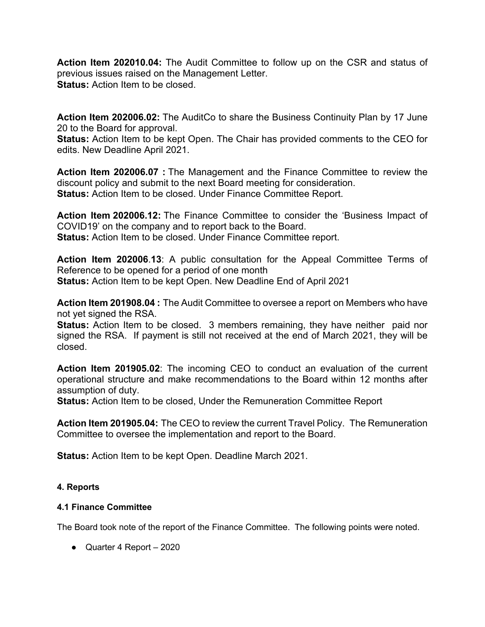**Action Item 202010.04:** The Audit Committee to follow up on the CSR and status of previous issues raised on the Management Letter. **Status:** Action Item to be closed.

**Action Item 202006.02:** The AuditCo to share the Business Continuity Plan by 17 June 20 to the Board for approval.

**Status:** Action Item to be kept Open. The Chair has provided comments to the CEO for edits. New Deadline April 2021.

**Action Item 202006.07 :** The Management and the Finance Committee to review the discount policy and submit to the next Board meeting for consideration. **Status:** Action Item to be closed. Under Finance Committee Report.

**Action Item 202006.12:** The Finance Committee to consider the 'Business Impact of COVID19' on the company and to report back to the Board. **Status:** Action Item to be closed. Under Finance Committee report.

**Action Item 202006**.**13**: A public consultation for the Appeal Committee Terms of Reference to be opened for a period of one month **Status:** Action Item to be kept Open. New Deadline End of April 2021

**Action Item 201908.04 :** The Audit Committee to oversee a report on Members who have not yet signed the RSA.

**Status:** Action Item to be closed. 3 members remaining, they have neither paid nor signed the RSA. If payment is still not received at the end of March 2021, they will be closed.

**Action Item 201905.02**: The incoming CEO to conduct an evaluation of the current operational structure and make recommendations to the Board within 12 months after assumption of duty.

**Status:** Action Item to be closed, Under the Remuneration Committee Report

**Action Item 201905.04:** The CEO to review the current Travel Policy. The Remuneration Committee to oversee the implementation and report to the Board.

**Status:** Action Item to be kept Open. Deadline March 2021.

## **4. Reports**

## **4.1 Finance Committee**

The Board took note of the report of the Finance Committee. The following points were noted.

● Quarter 4 Report – 2020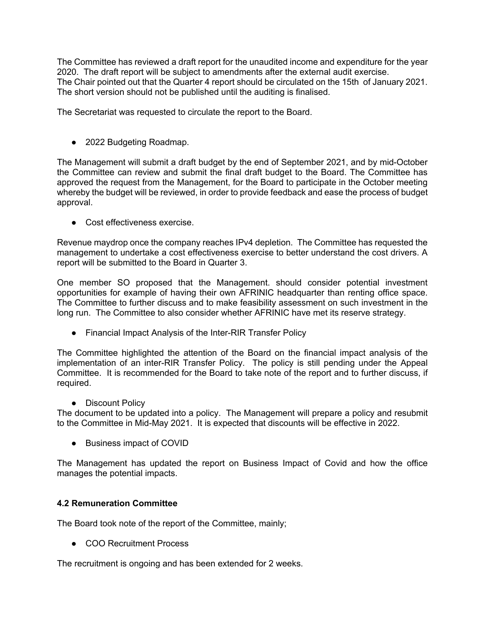The Committee has reviewed a draft report for the unaudited income and expenditure for the year 2020. The draft report will be subject to amendments after the external audit exercise. The Chair pointed out that the Quarter 4 report should be circulated on the 15th of January 2021. The short version should not be published until the auditing is finalised.

The Secretariat was requested to circulate the report to the Board.

● 2022 Budgeting Roadmap.

The Management will submit a draft budget by the end of September 2021, and by mid-October the Committee can review and submit the final draft budget to the Board. The Committee has approved the request from the Management, for the Board to participate in the October meeting whereby the budget will be reviewed, in order to provide feedback and ease the process of budget approval.

● Cost effectiveness exercise.

Revenue maydrop once the company reaches IPv4 depletion. The Committee has requested the management to undertake a cost effectiveness exercise to better understand the cost drivers. A report will be submitted to the Board in Quarter 3.

One member SO proposed that the Management. should consider potential investment opportunities for example of having their own AFRINIC headquarter than renting office space. The Committee to further discuss and to make feasibility assessment on such investment in the long run. The Committee to also consider whether AFRINIC have met its reserve strategy.

● Financial Impact Analysis of the Inter-RIR Transfer Policy

The Committee highlighted the attention of the Board on the financial impact analysis of the implementation of an inter-RIR Transfer Policy. The policy is still pending under the Appeal Committee. It is recommended for the Board to take note of the report and to further discuss, if required.

● Discount Policy

The document to be updated into a policy. The Management will prepare a policy and resubmit to the Committee in Mid-May 2021. It is expected that discounts will be effective in 2022.

● Business impact of COVID

The Management has updated the report on Business Impact of Covid and how the office manages the potential impacts.

### **4.2 Remuneration Committee**

The Board took note of the report of the Committee, mainly;

● COO Recruitment Process

The recruitment is ongoing and has been extended for 2 weeks.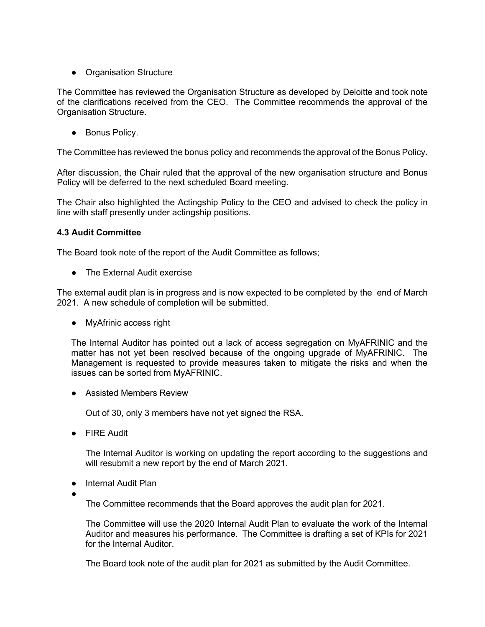• Organisation Structure

The Committee has reviewed the Organisation Structure as developed by Deloitte and took note of the clarifications received from the CEO. The Committee recommends the approval of the Organisation Structure.

● Bonus Policy.

The Committee has reviewed the bonus policy and recommends the approval of the Bonus Policy.

After discussion, the Chair ruled that the approval of the new organisation structure and Bonus Policy will be deferred to the next scheduled Board meeting.

The Chair also highlighted the Actingship Policy to the CEO and advised to check the policy in line with staff presently under actingship positions.

### **4.3 Audit Committee**

The Board took note of the report of the Audit Committee as follows;

● The External Audit exercise

The external audit plan is in progress and is now expected to be completed by the end of March 2021. A new schedule of completion will be submitted.

• MyAfrinic access right

The Internal Auditor has pointed out a lack of access segregation on MyAFRINIC and the matter has not yet been resolved because of the ongoing upgrade of MyAFRINIC. The Management is requested to provide measures taken to mitigate the risks and when the issues can be sorted from MyAFRINIC.

● Assisted Members Review

Out of 30, only 3 members have not yet signed the RSA.

● FIRE Audit

The Internal Auditor is working on updating the report according to the suggestions and will resubmit a new report by the end of March 2021.

- Internal Audit Plan
- ●

The Committee recommends that the Board approves the audit plan for 2021.

The Committee will use the 2020 Internal Audit Plan to evaluate the work of the Internal Auditor and measures his performance. The Committee is drafting a set of KPIs for 2021 for the Internal Auditor.

The Board took note of the audit plan for 2021 as submitted by the Audit Committee.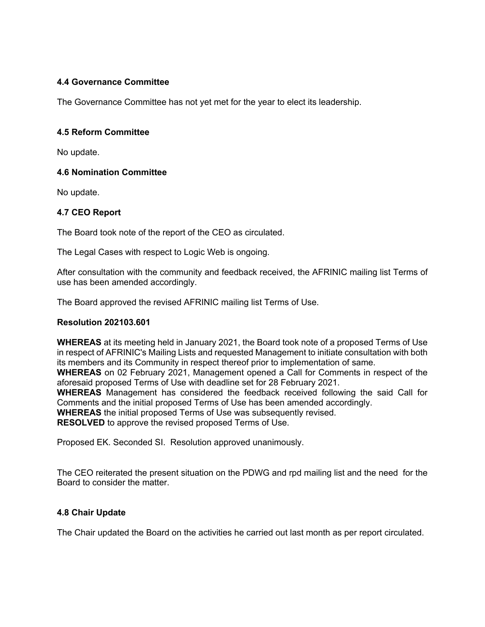### **4.4 Governance Committee**

The Governance Committee has not yet met for the year to elect its leadership.

### **4.5 Reform Committee**

No update.

### **4.6 Nomination Committee**

No update.

### **4.7 CEO Report**

The Board took note of the report of the CEO as circulated.

The Legal Cases with respect to Logic Web is ongoing.

After consultation with the community and feedback received, the AFRINIC mailing list Terms of use has been amended accordingly.

The Board approved the revised AFRINIC mailing list Terms of Use.

### **Resolution 202103.601**

**WHEREAS** at its meeting held in January 2021, the Board took note of a proposed Terms of Use in respect of AFRINIC's Mailing Lists and requested Management to initiate consultation with both its members and its Community in respect thereof prior to implementation of same.

**WHEREAS** on 02 February 2021, Management opened a Call for Comments in respect of the aforesaid proposed Terms of Use with deadline set for 28 February 2021.

**WHEREAS** Management has considered the feedback received following the said Call for Comments and the initial proposed Terms of Use has been amended accordingly.

**WHEREAS** the initial proposed Terms of Use was subsequently revised.

**RESOLVED** to approve the revised proposed Terms of Use.

Proposed EK. Seconded SI. Resolution approved unanimously.

The CEO reiterated the present situation on the PDWG and rpd mailing list and the need for the Board to consider the matter.

### **4.8 Chair Update**

The Chair updated the Board on the activities he carried out last month as per report circulated.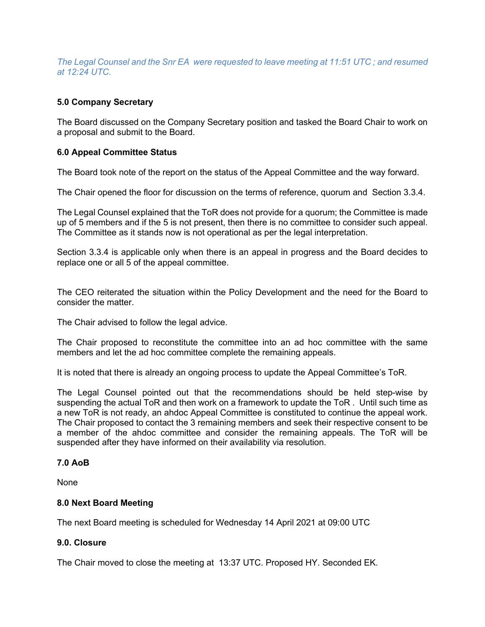*The Legal Counsel and the Snr EA were requested to leave meeting at 11:51 UTC ; and resumed at 12:24 UTC.*

### **5.0 Company Secretary**

The Board discussed on the Company Secretary position and tasked the Board Chair to work on a proposal and submit to the Board.

### **6.0 Appeal Committee Status**

The Board took note of the report on the status of the Appeal Committee and the way forward.

The Chair opened the floor for discussion on the terms of reference, quorum and Section 3.3.4.

The Legal Counsel explained that the ToR does not provide for a quorum; the Committee is made up of 5 members and if the 5 is not present, then there is no committee to consider such appeal. The Committee as it stands now is not operational as per the legal interpretation.

Section 3.3.4 is applicable only when there is an appeal in progress and the Board decides to replace one or all 5 of the appeal committee.

The CEO reiterated the situation within the Policy Development and the need for the Board to consider the matter.

The Chair advised to follow the legal advice.

The Chair proposed to reconstitute the committee into an ad hoc committee with the same members and let the ad hoc committee complete the remaining appeals.

It is noted that there is already an ongoing process to update the Appeal Committee's ToR.

The Legal Counsel pointed out that the recommendations should be held step-wise by suspending the actual ToR and then work on a framework to update the ToR . Until such time as a new ToR is not ready, an ahdoc Appeal Committee is constituted to continue the appeal work. The Chair proposed to contact the 3 remaining members and seek their respective consent to be a member of the ahdoc committee and consider the remaining appeals. The ToR will be suspended after they have informed on their availability via resolution.

### **7.0 AoB**

None

### **8.0 Next Board Meeting**

The next Board meeting is scheduled for Wednesday 14 April 2021 at 09:00 UTC

### **9.0. Closure**

The Chair moved to close the meeting at 13:37 UTC. Proposed HY. Seconded EK.